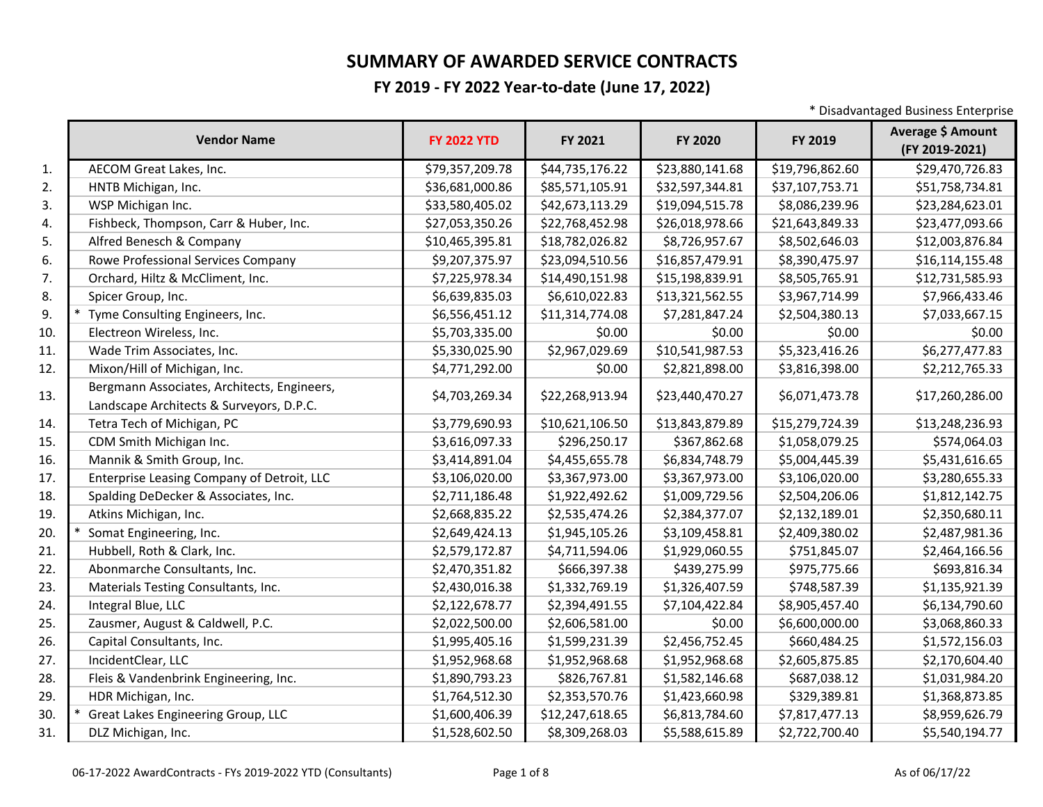## **SUMMARY OF AWARDED SERVICE CONTRACTS**

## **FY 2019 - FY 2022 Year-to-date (June 17, 2022)**

\* Disadvantaged Business Enterprise

|     | <b>Vendor Name</b>                                                                      | <b>FY 2022 YTD</b> | FY 2021         | FY 2020         | FY 2019         | Average \$ Amount<br>(FY 2019-2021) |
|-----|-----------------------------------------------------------------------------------------|--------------------|-----------------|-----------------|-----------------|-------------------------------------|
| 1.  | AECOM Great Lakes, Inc.                                                                 | \$79,357,209.78    | \$44,735,176.22 | \$23,880,141.68 | \$19,796,862.60 | \$29,470,726.83                     |
| 2.  | HNTB Michigan, Inc.                                                                     | \$36,681,000.86    | \$85,571,105.91 | \$32,597,344.81 | \$37,107,753.71 | \$51,758,734.81                     |
| 3.  | WSP Michigan Inc.                                                                       | \$33,580,405.02    | \$42,673,113.29 | \$19,094,515.78 | \$8,086,239.96  | \$23,284,623.01                     |
| 4.  | Fishbeck, Thompson, Carr & Huber, Inc.                                                  | \$27,053,350.26    | \$22,768,452.98 | \$26,018,978.66 | \$21,643,849.33 | \$23,477,093.66                     |
| 5.  | Alfred Benesch & Company                                                                | \$10,465,395.81    | \$18,782,026.82 | \$8,726,957.67  | \$8,502,646.03  | \$12,003,876.84                     |
| 6.  | Rowe Professional Services Company                                                      | \$9,207,375.97     | \$23,094,510.56 | \$16,857,479.91 | \$8,390,475.97  | \$16,114,155.48                     |
| 7.  | Orchard, Hiltz & McCliment, Inc.                                                        | \$7,225,978.34     | \$14,490,151.98 | \$15,198,839.91 | \$8,505,765.91  | \$12,731,585.93                     |
| 8.  | Spicer Group, Inc.                                                                      | \$6,639,835.03     | \$6,610,022.83  | \$13,321,562.55 | \$3,967,714.99  | \$7,966,433.46                      |
| 9.  | Tyme Consulting Engineers, Inc.                                                         | \$6,556,451.12     | \$11,314,774.08 | \$7,281,847.24  | \$2,504,380.13  | \$7,033,667.15                      |
| 10. | Electreon Wireless, Inc.                                                                | \$5,703,335.00     | \$0.00          | \$0.00          | \$0.00          | \$0.00                              |
| 11. | Wade Trim Associates, Inc.                                                              | \$5,330,025.90     | \$2,967,029.69  | \$10,541,987.53 | \$5,323,416.26  | \$6,277,477.83                      |
| 12. | Mixon/Hill of Michigan, Inc.                                                            | \$4,771,292.00     | \$0.00          | \$2,821,898.00  | \$3,816,398.00  | \$2,212,765.33                      |
| 13. | Bergmann Associates, Architects, Engineers,<br>Landscape Architects & Surveyors, D.P.C. | \$4,703,269.34     | \$22,268,913.94 | \$23,440,470.27 | \$6,071,473.78  | \$17,260,286.00                     |
| 14. | Tetra Tech of Michigan, PC                                                              | \$3,779,690.93     | \$10,621,106.50 | \$13,843,879.89 | \$15,279,724.39 | \$13,248,236.93                     |
| 15. | CDM Smith Michigan Inc.                                                                 | \$3,616,097.33     | \$296,250.17    | \$367,862.68    | \$1,058,079.25  | \$574,064.03                        |
| 16. | Mannik & Smith Group, Inc.                                                              | \$3,414,891.04     | \$4,455,655.78  | \$6,834,748.79  | \$5,004,445.39  | \$5,431,616.65                      |
| 17. | Enterprise Leasing Company of Detroit, LLC                                              | \$3,106,020.00     | \$3,367,973.00  | \$3,367,973.00  | \$3,106,020.00  | \$3,280,655.33                      |
| 18. | Spalding DeDecker & Associates, Inc.                                                    | \$2,711,186.48     | \$1,922,492.62  | \$1,009,729.56  | \$2,504,206.06  | \$1,812,142.75                      |
| 19. | Atkins Michigan, Inc.                                                                   | \$2,668,835.22     | \$2,535,474.26  | \$2,384,377.07  | \$2,132,189.01  | \$2,350,680.11                      |
| 20. | Somat Engineering, Inc.                                                                 | \$2,649,424.13     | \$1,945,105.26  | \$3,109,458.81  | \$2,409,380.02  | \$2,487,981.36                      |
| 21. | Hubbell, Roth & Clark, Inc.                                                             | \$2,579,172.87     | \$4,711,594.06  | \$1,929,060.55  | \$751,845.07    | \$2,464,166.56                      |
| 22. | Abonmarche Consultants, Inc.                                                            | \$2,470,351.82     | \$666,397.38    | \$439,275.99    | \$975,775.66    | \$693,816.34                        |
| 23. | Materials Testing Consultants, Inc.                                                     | \$2,430,016.38     | \$1,332,769.19  | \$1,326,407.59  | \$748,587.39    | \$1,135,921.39                      |
| 24. | Integral Blue, LLC                                                                      | \$2,122,678.77     | \$2,394,491.55  | \$7,104,422.84  | \$8,905,457.40  | \$6,134,790.60                      |
| 25. | Zausmer, August & Caldwell, P.C.                                                        | \$2,022,500.00     | \$2,606,581.00  | \$0.00          | \$6,600,000.00  | \$3,068,860.33                      |
| 26. | Capital Consultants, Inc.                                                               | \$1,995,405.16     | \$1,599,231.39  | \$2,456,752.45  | \$660,484.25    | \$1,572,156.03                      |
| 27. | IncidentClear, LLC                                                                      | \$1,952,968.68     | \$1,952,968.68  | \$1,952,968.68  | \$2,605,875.85  | \$2,170,604.40                      |
| 28. | Fleis & Vandenbrink Engineering, Inc.                                                   | \$1,890,793.23     | \$826,767.81    | \$1,582,146.68  | \$687,038.12    | \$1,031,984.20                      |
| 29. | HDR Michigan, Inc.                                                                      | \$1,764,512.30     | \$2,353,570.76  | \$1,423,660.98  | \$329,389.81    | \$1,368,873.85                      |
| 30. | Great Lakes Engineering Group, LLC                                                      | \$1,600,406.39     | \$12,247,618.65 | \$6,813,784.60  | \$7,817,477.13  | \$8,959,626.79                      |
| 31. | DLZ Michigan, Inc.                                                                      | \$1,528,602.50     | \$8,309,268.03  | \$5,588,615.89  | \$2,722,700.40  | \$5,540,194.77                      |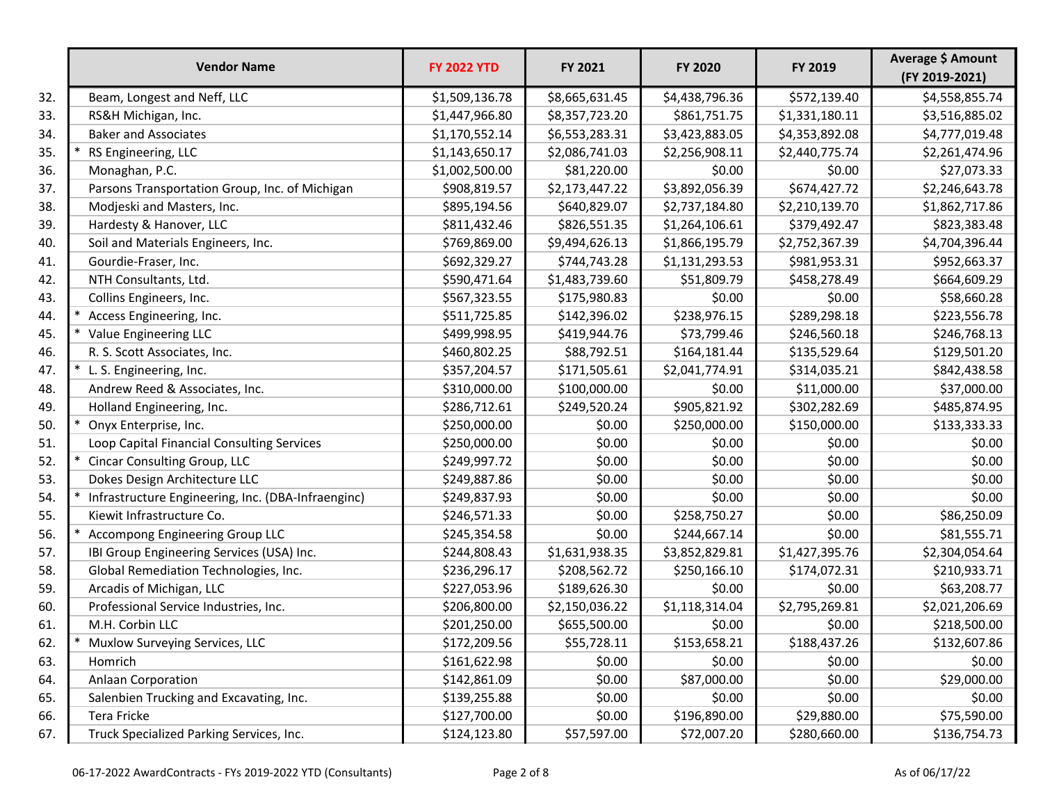|     | <b>Vendor Name</b>                                 | <b>FY 2022 YTD</b> | FY 2021        | FY 2020        | FY 2019        | Average \$ Amount<br>(FY 2019-2021) |
|-----|----------------------------------------------------|--------------------|----------------|----------------|----------------|-------------------------------------|
| 32. | Beam, Longest and Neff, LLC                        | \$1,509,136.78     | \$8,665,631.45 | \$4,438,796.36 | \$572,139.40   | \$4,558,855.74                      |
| 33. | RS&H Michigan, Inc.                                | \$1,447,966.80     | \$8,357,723.20 | \$861,751.75   | \$1,331,180.11 | \$3,516,885.02                      |
| 34. | <b>Baker and Associates</b>                        | \$1,170,552.14     | \$6,553,283.31 | \$3,423,883.05 | \$4,353,892.08 | \$4,777,019.48                      |
| 35. | RS Engineering, LLC                                | \$1,143,650.17     | \$2,086,741.03 | \$2,256,908.11 | \$2,440,775.74 | \$2,261,474.96                      |
| 36. | Monaghan, P.C.                                     | \$1,002,500.00     | \$81,220.00    | \$0.00         | \$0.00         | \$27,073.33                         |
| 37. | Parsons Transportation Group, Inc. of Michigan     | \$908,819.57       | \$2,173,447.22 | \$3,892,056.39 | \$674,427.72   | \$2,246,643.78                      |
| 38. | Modjeski and Masters, Inc.                         | \$895,194.56       | \$640,829.07   | \$2,737,184.80 | \$2,210,139.70 | \$1,862,717.86                      |
| 39. | Hardesty & Hanover, LLC                            | \$811,432.46       | \$826,551.35   | \$1,264,106.61 | \$379,492.47   | \$823,383.48                        |
| 40. | Soil and Materials Engineers, Inc.                 | \$769,869.00       | \$9,494,626.13 | \$1,866,195.79 | \$2,752,367.39 | \$4,704,396.44                      |
| 41. | Gourdie-Fraser, Inc.                               | \$692,329.27       | \$744,743.28   | \$1,131,293.53 | \$981,953.31   | \$952,663.37                        |
| 42. | NTH Consultants, Ltd.                              | \$590,471.64       | \$1,483,739.60 | \$51,809.79    | \$458,278.49   | \$664,609.29                        |
| 43. | Collins Engineers, Inc.                            | \$567,323.55       | \$175,980.83   | \$0.00         | \$0.00         | \$58,660.28                         |
| 44. | Access Engineering, Inc.                           | \$511,725.85       | \$142,396.02   | \$238,976.15   | \$289,298.18   | \$223,556.78                        |
| 45. | Value Engineering LLC                              | \$499,998.95       | \$419,944.76   | \$73,799.46    | \$246,560.18   | \$246,768.13                        |
| 46. | R. S. Scott Associates, Inc.                       | \$460,802.25       | \$88,792.51    | \$164,181.44   | \$135,529.64   | \$129,501.20                        |
| 47. | * L. S. Engineering, Inc.                          | \$357,204.57       | \$171,505.61   | \$2,041,774.91 | \$314,035.21   | \$842,438.58                        |
| 48. | Andrew Reed & Associates, Inc.                     | \$310,000.00       | \$100,000.00   | \$0.00         | \$11,000.00    | \$37,000.00                         |
| 49. | Holland Engineering, Inc.                          | \$286,712.61       | \$249,520.24   | \$905,821.92   | \$302,282.69   | \$485,874.95                        |
| 50. | Onyx Enterprise, Inc.                              | \$250,000.00       | \$0.00         | \$250,000.00   | \$150,000.00   | \$133,333.33                        |
| 51. | Loop Capital Financial Consulting Services         | \$250,000.00       | \$0.00         | \$0.00         | \$0.00         | \$0.00                              |
| 52. | Cincar Consulting Group, LLC                       | \$249,997.72       | \$0.00         | \$0.00         | \$0.00         | \$0.00                              |
| 53. | Dokes Design Architecture LLC                      | \$249,887.86       | \$0.00         | \$0.00         | \$0.00         | \$0.00                              |
| 54. | Infrastructure Engineering, Inc. (DBA-Infraenginc) | \$249,837.93       | \$0.00         | \$0.00         | \$0.00         | \$0.00                              |
| 55. | Kiewit Infrastructure Co.                          | \$246,571.33       | \$0.00         | \$258,750.27   | \$0.00         | \$86,250.09                         |
| 56. | *<br>Accompong Engineering Group LLC               | \$245,354.58       | \$0.00         | \$244,667.14   | \$0.00         | \$81,555.71                         |
| 57. | IBI Group Engineering Services (USA) Inc.          | \$244,808.43       | \$1,631,938.35 | \$3,852,829.81 | \$1,427,395.76 | \$2,304,054.64                      |
| 58. | Global Remediation Technologies, Inc.              | \$236,296.17       | \$208,562.72   | \$250,166.10   | \$174,072.31   | \$210,933.71                        |
| 59. | Arcadis of Michigan, LLC                           | \$227,053.96       | \$189,626.30   | \$0.00         | \$0.00         | \$63,208.77                         |
| 60. | Professional Service Industries, Inc.              | \$206,800.00       | \$2,150,036.22 | \$1,118,314.04 | \$2,795,269.81 | \$2,021,206.69                      |
| 61. | M.H. Corbin LLC                                    | \$201,250.00       | \$655,500.00   | \$0.00         | \$0.00         | \$218,500.00                        |
| 62. | Muxlow Surveying Services, LLC                     | \$172,209.56       | \$55,728.11    | \$153,658.21   | \$188,437.26   | \$132,607.86                        |
| 63. | Homrich                                            | \$161,622.98       | \$0.00         | \$0.00         | \$0.00         | \$0.00                              |
| 64. | <b>Anlaan Corporation</b>                          | \$142,861.09       | \$0.00         | \$87,000.00    | \$0.00         | \$29,000.00                         |
| 65. | Salenbien Trucking and Excavating, Inc.            | \$139,255.88       | \$0.00         | \$0.00         | \$0.00         | \$0.00                              |
| 66. | Tera Fricke                                        | \$127,700.00       | \$0.00         | \$196,890.00   | \$29,880.00    | \$75,590.00                         |
| 67. | Truck Specialized Parking Services, Inc.           | \$124,123.80       | \$57,597.00    | \$72,007.20    | \$280,660.00   | \$136,754.73                        |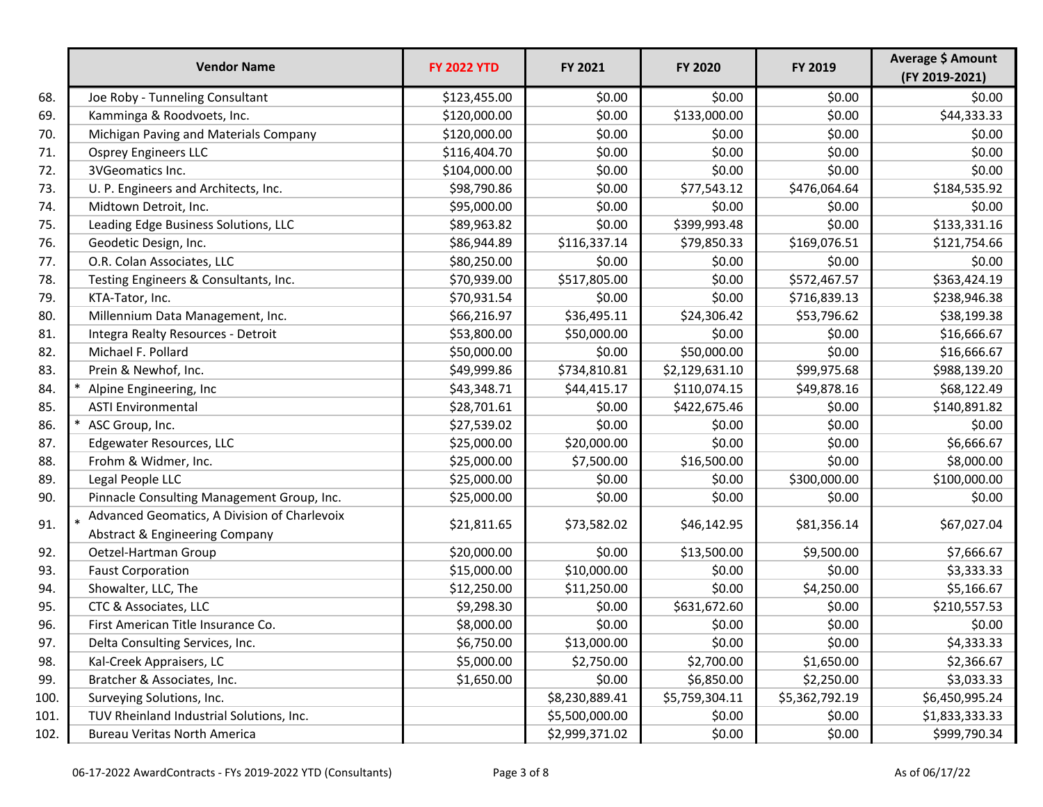|      | <b>Vendor Name</b>                                                               | <b>FY 2022 YTD</b> | FY 2021        | <b>FY 2020</b> | FY 2019        | Average \$ Amount<br>(FY 2019-2021) |
|------|----------------------------------------------------------------------------------|--------------------|----------------|----------------|----------------|-------------------------------------|
| 68.  | Joe Roby - Tunneling Consultant                                                  | \$123,455.00       | \$0.00         | \$0.00         | \$0.00         | \$0.00                              |
| 69.  | Kamminga & Roodvoets, Inc.                                                       | \$120,000.00       | \$0.00         | \$133,000.00   | \$0.00         | \$44,333.33                         |
| 70.  | Michigan Paving and Materials Company                                            | \$120,000.00       | \$0.00         | \$0.00         | \$0.00         | \$0.00                              |
| 71.  | <b>Osprey Engineers LLC</b>                                                      | \$116,404.70       | \$0.00         | \$0.00         | \$0.00         | \$0.00                              |
| 72.  | 3VGeomatics Inc.                                                                 | \$104,000.00       | \$0.00         | \$0.00         | \$0.00         | \$0.00                              |
| 73.  | U. P. Engineers and Architects, Inc.                                             | \$98,790.86        | \$0.00         | \$77,543.12    | \$476,064.64   | \$184,535.92                        |
| 74.  | Midtown Detroit, Inc.                                                            | \$95,000.00        | \$0.00         | \$0.00         | \$0.00         | \$0.00                              |
| 75.  | Leading Edge Business Solutions, LLC                                             | \$89,963.82        | \$0.00         | \$399,993.48   | \$0.00         | \$133,331.16                        |
| 76.  | Geodetic Design, Inc.                                                            | \$86,944.89        | \$116,337.14   | \$79,850.33    | \$169,076.51   | \$121,754.66                        |
| 77.  | O.R. Colan Associates, LLC                                                       | \$80,250.00        | \$0.00         | \$0.00         | \$0.00         | \$0.00                              |
| 78.  | Testing Engineers & Consultants, Inc.                                            | \$70,939.00        | \$517,805.00   | \$0.00         | \$572,467.57   | \$363,424.19                        |
| 79.  | KTA-Tator, Inc.                                                                  | \$70,931.54        | \$0.00         | \$0.00         | \$716,839.13   | \$238,946.38                        |
| 80.  | Millennium Data Management, Inc.                                                 | \$66,216.97        | \$36,495.11    | \$24,306.42    | \$53,796.62    | \$38,199.38                         |
| 81.  | Integra Realty Resources - Detroit                                               | \$53,800.00        | \$50,000.00    | \$0.00         | \$0.00         | \$16,666.67                         |
| 82.  | Michael F. Pollard                                                               | \$50,000.00        | \$0.00         | \$50,000.00    | \$0.00         | \$16,666.67                         |
| 83.  | Prein & Newhof, Inc.                                                             | \$49,999.86        | \$734,810.81   | \$2,129,631.10 | \$99,975.68    | \$988,139.20                        |
| 84.  | Alpine Engineering, Inc                                                          | \$43,348.71        | \$44,415.17    | \$110,074.15   | \$49,878.16    | \$68,122.49                         |
| 85.  | <b>ASTI Environmental</b>                                                        | \$28,701.61        | \$0.00         | \$422,675.46   | \$0.00         | \$140,891.82                        |
| 86.  | ASC Group, Inc.                                                                  | \$27,539.02        | \$0.00         | \$0.00         | \$0.00         | \$0.00                              |
| 87.  | Edgewater Resources, LLC                                                         | \$25,000.00        | \$20,000.00    | \$0.00         | \$0.00         | \$6,666.67                          |
| 88.  | Frohm & Widmer, Inc.                                                             | \$25,000.00        | \$7,500.00     | \$16,500.00    | \$0.00         | \$8,000.00                          |
| 89.  | Legal People LLC                                                                 | \$25,000.00        | \$0.00         | \$0.00         | \$300,000.00   | \$100,000.00                        |
| 90.  | Pinnacle Consulting Management Group, Inc.                                       | \$25,000.00        | \$0.00         | \$0.00         | \$0.00         | \$0.00                              |
| 91.  | * Advanced Geomatics, A Division of Charlevoix<br>Abstract & Engineering Company | \$21,811.65        | \$73,582.02    | \$46,142.95    | \$81,356.14    | \$67,027.04                         |
| 92.  | Oetzel-Hartman Group                                                             | \$20,000.00        | \$0.00         | \$13,500.00    | \$9,500.00     | \$7,666.67                          |
| 93.  | <b>Faust Corporation</b>                                                         | \$15,000.00        | \$10,000.00    | \$0.00         | \$0.00         | \$3,333.33                          |
| 94.  | Showalter, LLC, The                                                              | \$12,250.00        | \$11,250.00    | \$0.00         | \$4,250.00     | \$5,166.67                          |
| 95.  | CTC & Associates, LLC                                                            | \$9,298.30         | \$0.00         | \$631,672.60   | \$0.00         | \$210,557.53                        |
| 96.  | First American Title Insurance Co.                                               | \$8,000.00         | \$0.00         | \$0.00         | \$0.00         | \$0.00                              |
| 97.  | Delta Consulting Services, Inc.                                                  | \$6,750.00         | \$13,000.00    | \$0.00         | \$0.00         | \$4,333.33                          |
| 98.  | Kal-Creek Appraisers, LC                                                         | \$5,000.00         | \$2,750.00     | \$2,700.00     | \$1,650.00     | \$2,366.67                          |
| 99.  | Bratcher & Associates, Inc.                                                      | \$1,650.00         | \$0.00         | \$6,850.00     | \$2,250.00     | \$3,033.33                          |
| 100. | Surveying Solutions, Inc.                                                        |                    | \$8,230,889.41 | \$5,759,304.11 | \$5,362,792.19 | \$6,450,995.24                      |
| 101. | TUV Rheinland Industrial Solutions, Inc.                                         |                    | \$5,500,000.00 | \$0.00         | \$0.00         | \$1,833,333.33                      |
| 102. | <b>Bureau Veritas North America</b>                                              |                    | \$2,999,371.02 | \$0.00         | \$0.00         | \$999,790.34                        |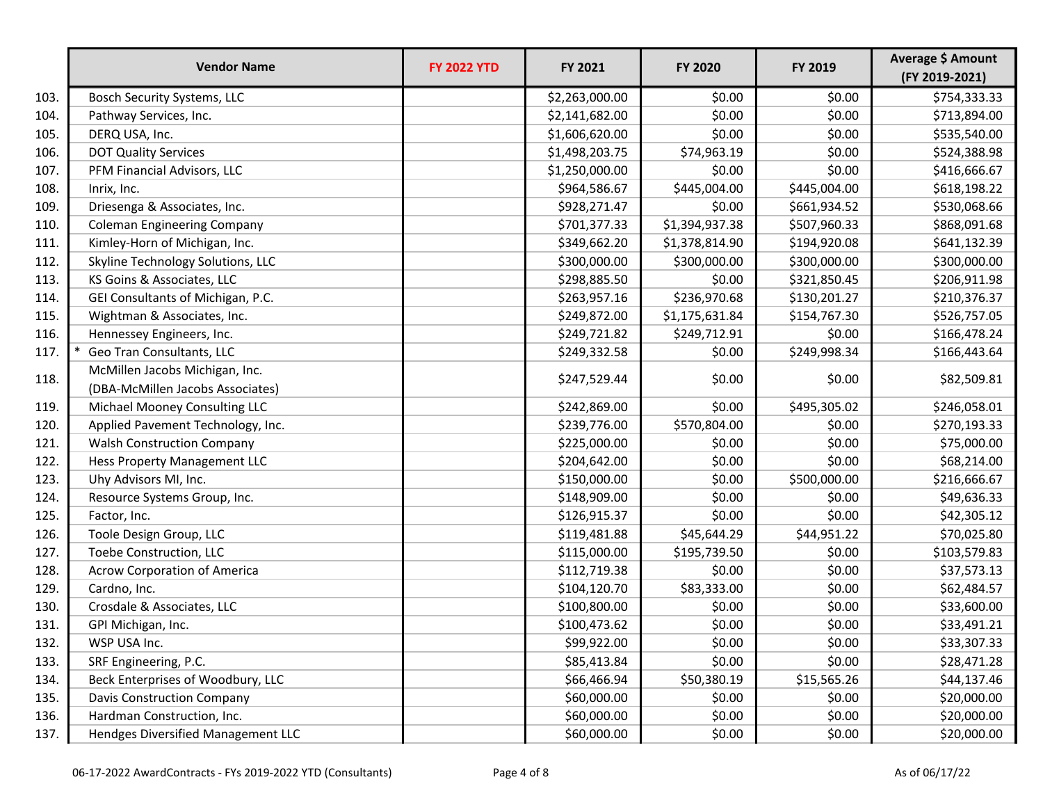|      | <b>Vendor Name</b>                                                 | <b>FY 2022 YTD</b> | FY 2021        | FY 2020        | FY 2019      | Average \$ Amount<br>(FY 2019-2021) |
|------|--------------------------------------------------------------------|--------------------|----------------|----------------|--------------|-------------------------------------|
| 103. | Bosch Security Systems, LLC                                        |                    | \$2,263,000.00 | \$0.00         | \$0.00       | \$754,333.33                        |
| 104. | Pathway Services, Inc.                                             |                    | \$2,141,682.00 | \$0.00         | \$0.00       | \$713,894.00                        |
| 105. | DERQ USA, Inc.                                                     |                    | \$1,606,620.00 | \$0.00         | \$0.00       | \$535,540.00                        |
| 106. | <b>DOT Quality Services</b>                                        |                    | \$1,498,203.75 | \$74,963.19    | \$0.00       | \$524,388.98                        |
| 107. | PFM Financial Advisors, LLC                                        |                    | \$1,250,000.00 | \$0.00         | \$0.00       | \$416,666.67                        |
| 108. | Inrix, Inc.                                                        |                    | \$964,586.67   | \$445,004.00   | \$445,004.00 | \$618,198.22                        |
| 109. | Driesenga & Associates, Inc.                                       |                    | \$928,271.47   | \$0.00         | \$661,934.52 | \$530,068.66                        |
| 110. | <b>Coleman Engineering Company</b>                                 |                    | \$701,377.33   | \$1,394,937.38 | \$507,960.33 | \$868,091.68                        |
| 111. | Kimley-Horn of Michigan, Inc.                                      |                    | \$349,662.20   | \$1,378,814.90 | \$194,920.08 | \$641,132.39                        |
| 112. | Skyline Technology Solutions, LLC                                  |                    | \$300,000.00   | \$300,000.00   | \$300,000.00 | \$300,000.00                        |
| 113. | KS Goins & Associates, LLC                                         |                    | \$298,885.50   | \$0.00         | \$321,850.45 | \$206,911.98                        |
| 114. | GEI Consultants of Michigan, P.C.                                  |                    | \$263,957.16   | \$236,970.68   | \$130,201.27 | \$210,376.37                        |
| 115. | Wightman & Associates, Inc.                                        |                    | \$249,872.00   | \$1,175,631.84 | \$154,767.30 | \$526,757.05                        |
| 116. | Hennessey Engineers, Inc.                                          |                    | \$249,721.82   | \$249,712.91   | \$0.00       | \$166,478.24                        |
| 117. | Geo Tran Consultants, LLC                                          |                    | \$249,332.58   | \$0.00         | \$249,998.34 | \$166,443.64                        |
| 118. | McMillen Jacobs Michigan, Inc.<br>(DBA-McMillen Jacobs Associates) |                    | \$247,529.44   | \$0.00         | \$0.00       | \$82,509.81                         |
| 119. | Michael Mooney Consulting LLC                                      |                    | \$242,869.00   | \$0.00         | \$495,305.02 | \$246,058.01                        |
| 120. | Applied Pavement Technology, Inc.                                  |                    | \$239,776.00   | \$570,804.00   | \$0.00       | \$270,193.33                        |
| 121. | <b>Walsh Construction Company</b>                                  |                    | \$225,000.00   | \$0.00         | \$0.00       | \$75,000.00                         |
| 122. | Hess Property Management LLC                                       |                    | \$204,642.00   | \$0.00         | \$0.00       | \$68,214.00                         |
| 123. | Uhy Advisors MI, Inc.                                              |                    | \$150,000.00   | \$0.00         | \$500,000.00 | \$216,666.67                        |
| 124. | Resource Systems Group, Inc.                                       |                    | \$148,909.00   | \$0.00         | \$0.00       | \$49,636.33                         |
| 125. | Factor, Inc.                                                       |                    | \$126,915.37   | \$0.00         | \$0.00       | \$42,305.12                         |
| 126. | Toole Design Group, LLC                                            |                    | \$119,481.88   | \$45,644.29    | \$44,951.22  | \$70,025.80                         |
| 127. | Toebe Construction, LLC                                            |                    | \$115,000.00   | \$195,739.50   | \$0.00       | \$103,579.83                        |
| 128. | <b>Acrow Corporation of America</b>                                |                    | \$112,719.38   | \$0.00         | \$0.00       | \$37,573.13                         |
| 129. | Cardno, Inc.                                                       |                    | \$104,120.70   | \$83,333.00    | \$0.00       | \$62,484.57                         |
| 130. | Crosdale & Associates, LLC                                         |                    | \$100,800.00   | \$0.00         | \$0.00       | \$33,600.00                         |
| 131. | GPI Michigan, Inc.                                                 |                    | \$100,473.62   | \$0.00         | \$0.00       | \$33,491.21                         |
| 132. | WSP USA Inc.                                                       |                    | \$99,922.00    | \$0.00         | \$0.00       | \$33,307.33                         |
| 133. | SRF Engineering, P.C.                                              |                    | \$85,413.84    | \$0.00         | \$0.00       | \$28,471.28                         |
| 134. | Beck Enterprises of Woodbury, LLC                                  |                    | \$66,466.94    | \$50,380.19    | \$15,565.26  | \$44,137.46                         |
| 135. | <b>Davis Construction Company</b>                                  |                    | \$60,000.00    | \$0.00         | \$0.00       | \$20,000.00                         |
| 136. | Hardman Construction, Inc.                                         |                    | \$60,000.00    | \$0.00         | \$0.00       | \$20,000.00                         |
| 137. | Hendges Diversified Management LLC                                 |                    | \$60,000.00    | \$0.00         | \$0.00       | \$20,000.00                         |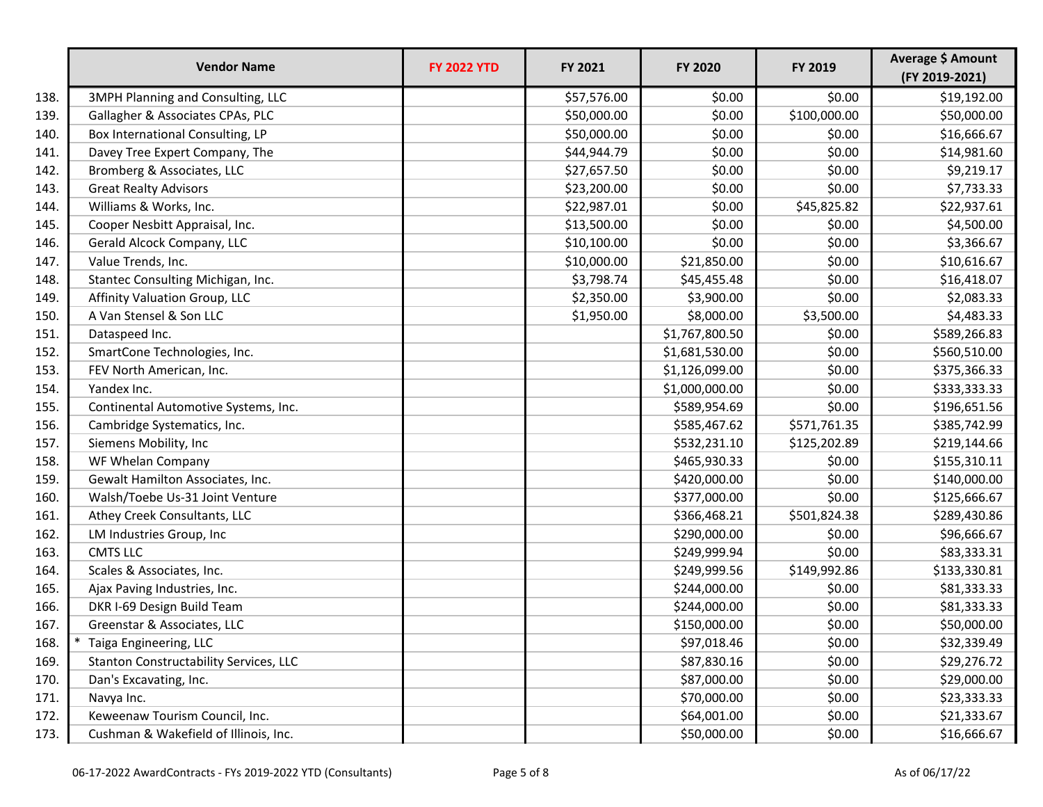|      | <b>Vendor Name</b>                       | <b>FY 2022 YTD</b> | FY 2021     | FY 2020        | FY 2019      | Average \$ Amount<br>(FY 2019-2021) |
|------|------------------------------------------|--------------------|-------------|----------------|--------------|-------------------------------------|
| 138. | <b>3MPH Planning and Consulting, LLC</b> |                    | \$57,576.00 | \$0.00         | \$0.00       | \$19,192.00                         |
| 139. | Gallagher & Associates CPAs, PLC         |                    | \$50,000.00 | \$0.00         | \$100,000.00 | \$50,000.00                         |
| 140. | Box International Consulting, LP         |                    | \$50,000.00 | \$0.00         | \$0.00       | \$16,666.67                         |
| 141. | Davey Tree Expert Company, The           |                    | \$44,944.79 | \$0.00         | \$0.00       | \$14,981.60                         |
| 142. | Bromberg & Associates, LLC               |                    | \$27,657.50 | \$0.00         | \$0.00       | \$9,219.17                          |
| 143. | <b>Great Realty Advisors</b>             |                    | \$23,200.00 | \$0.00         | \$0.00       | \$7,733.33                          |
| 144. | Williams & Works, Inc.                   |                    | \$22,987.01 | \$0.00         | \$45,825.82  | \$22,937.61                         |
| 145. | Cooper Nesbitt Appraisal, Inc.           |                    | \$13,500.00 | \$0.00         | \$0.00       | \$4,500.00                          |
| 146. | Gerald Alcock Company, LLC               |                    | \$10,100.00 | \$0.00         | \$0.00       | \$3,366.67                          |
| 147. | Value Trends, Inc.                       |                    | \$10,000.00 | \$21,850.00    | \$0.00       | \$10,616.67                         |
| 148. | Stantec Consulting Michigan, Inc.        |                    | \$3,798.74  | \$45,455.48    | \$0.00       | \$16,418.07                         |
| 149. | Affinity Valuation Group, LLC            |                    | \$2,350.00  | \$3,900.00     | \$0.00       | \$2,083.33                          |
| 150. | A Van Stensel & Son LLC                  |                    | \$1,950.00  | \$8,000.00     | \$3,500.00   | \$4,483.33                          |
| 151. | Dataspeed Inc.                           |                    |             | \$1,767,800.50 | \$0.00       | \$589,266.83                        |
| 152. | SmartCone Technologies, Inc.             |                    |             | \$1,681,530.00 | \$0.00       | \$560,510.00                        |
| 153. | FEV North American, Inc.                 |                    |             | \$1,126,099.00 | \$0.00       | \$375,366.33                        |
| 154. | Yandex Inc.                              |                    |             | \$1,000,000.00 | \$0.00       | \$333,333.33                        |
| 155. | Continental Automotive Systems, Inc.     |                    |             | \$589,954.69   | \$0.00       | \$196,651.56                        |
| 156. | Cambridge Systematics, Inc.              |                    |             | \$585,467.62   | \$571,761.35 | \$385,742.99                        |
| 157. | Siemens Mobility, Inc                    |                    |             | \$532,231.10   | \$125,202.89 | \$219,144.66                        |
| 158. | WF Whelan Company                        |                    |             | \$465,930.33   | \$0.00       | \$155,310.11                        |
| 159. | Gewalt Hamilton Associates, Inc.         |                    |             | \$420,000.00   | \$0.00       | \$140,000.00                        |
| 160. | Walsh/Toebe Us-31 Joint Venture          |                    |             | \$377,000.00   | \$0.00       | \$125,666.67                        |
| 161. | Athey Creek Consultants, LLC             |                    |             | \$366,468.21   | \$501,824.38 | \$289,430.86                        |
| 162. | LM Industries Group, Inc                 |                    |             | \$290,000.00   | \$0.00       | \$96,666.67                         |
| 163. | <b>CMTS LLC</b>                          |                    |             | \$249,999.94   | \$0.00       | \$83,333.31                         |
| 164. | Scales & Associates, Inc.                |                    |             | \$249,999.56   | \$149,992.86 | \$133,330.81                        |
| 165. | Ajax Paving Industries, Inc.             |                    |             | \$244,000.00   | \$0.00       | \$81,333.33                         |
| 166. | DKR I-69 Design Build Team               |                    |             | \$244,000.00   | \$0.00       | \$81,333.33                         |
| 167. | Greenstar & Associates, LLC              |                    |             | \$150,000.00   | \$0.00       | \$50,000.00                         |
| 168. | Taiga Engineering, LLC                   |                    |             | \$97,018.46    | \$0.00       | \$32,339.49                         |
| 169. | Stanton Constructability Services, LLC   |                    |             | \$87,830.16    | \$0.00       | \$29,276.72                         |
| 170. | Dan's Excavating, Inc.                   |                    |             | \$87,000.00    | \$0.00       | \$29,000.00                         |
| 171. | Navya Inc.                               |                    |             | \$70,000.00    | \$0.00       | \$23,333.33                         |
| 172. | Keweenaw Tourism Council, Inc.           |                    |             | \$64,001.00    | \$0.00       | \$21,333.67                         |
| 173. | Cushman & Wakefield of Illinois, Inc.    |                    |             | \$50,000.00    | \$0.00       | \$16,666.67                         |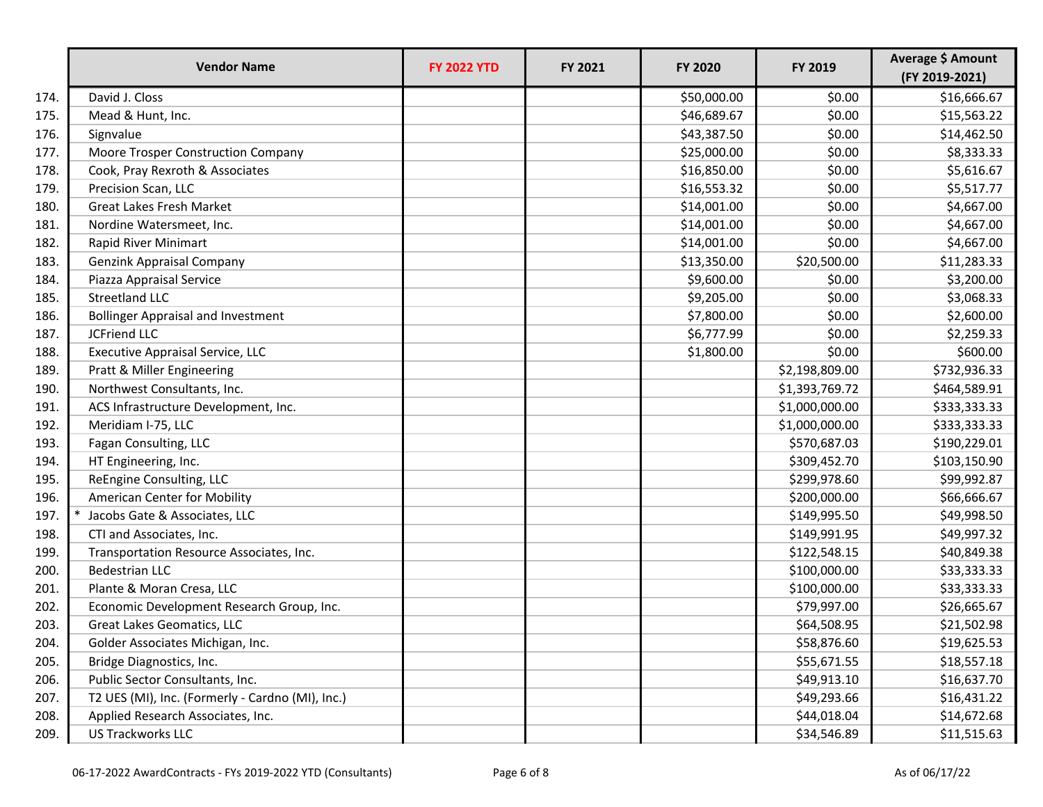|      | <b>Vendor Name</b>                               | <b>FY 2022 YTD</b> | FY 2021 | <b>FY 2020</b> | FY 2019        | Average \$ Amount<br>(FY 2019-2021) |
|------|--------------------------------------------------|--------------------|---------|----------------|----------------|-------------------------------------|
| 174. | David J. Closs                                   |                    |         | \$50,000.00    | \$0.00         | \$16,666.67                         |
| 175. | Mead & Hunt, Inc.                                |                    |         | \$46,689.67    | \$0.00         | \$15,563.22                         |
| 176. | Signvalue                                        |                    |         | \$43,387.50    | \$0.00         | \$14,462.50                         |
| 177. | Moore Trosper Construction Company               |                    |         | \$25,000.00    | \$0.00         | \$8,333.33                          |
| 178. | Cook, Pray Rexroth & Associates                  |                    |         | \$16,850.00    | \$0.00         | \$5,616.67                          |
| 179. | Precision Scan, LLC                              |                    |         | \$16,553.32    | \$0.00         | \$5,517.77                          |
| 180. | <b>Great Lakes Fresh Market</b>                  |                    |         | \$14,001.00    | \$0.00         | \$4,667.00                          |
| 181. | Nordine Watersmeet, Inc.                         |                    |         | \$14,001.00    | \$0.00         | \$4,667.00                          |
| 182. | Rapid River Minimart                             |                    |         | \$14,001.00    | \$0.00         | \$4,667.00                          |
| 183. | <b>Genzink Appraisal Company</b>                 |                    |         | \$13,350.00    | \$20,500.00    | \$11,283.33                         |
| 184. | Piazza Appraisal Service                         |                    |         | \$9,600.00     | \$0.00         | \$3,200.00                          |
| 185. | <b>Streetland LLC</b>                            |                    |         | \$9,205.00     | \$0.00         | \$3,068.33                          |
| 186. | <b>Bollinger Appraisal and Investment</b>        |                    |         | \$7,800.00     | \$0.00         | \$2,600.00                          |
| 187. | <b>JCFriend LLC</b>                              |                    |         | \$6,777.99     | \$0.00         | \$2,259.33                          |
| 188. | <b>Executive Appraisal Service, LLC</b>          |                    |         | \$1,800.00     | \$0.00         | \$600.00                            |
| 189. | Pratt & Miller Engineering                       |                    |         |                | \$2,198,809.00 | \$732,936.33                        |
| 190. | Northwest Consultants, Inc.                      |                    |         |                | \$1,393,769.72 | \$464,589.91                        |
| 191. | ACS Infrastructure Development, Inc.             |                    |         |                | \$1,000,000.00 | \$333,333.33                        |
| 192. | Meridiam I-75, LLC                               |                    |         |                | \$1,000,000.00 | \$333,333.33                        |
| 193. | Fagan Consulting, LLC                            |                    |         |                | \$570,687.03   | \$190,229.01                        |
| 194. | HT Engineering, Inc.                             |                    |         |                | \$309,452.70   | \$103,150.90                        |
| 195. | ReEngine Consulting, LLC                         |                    |         |                | \$299,978.60   | \$99,992.87                         |
| 196. | American Center for Mobility                     |                    |         |                | \$200,000.00   | \$66,666.67                         |
| 197. | Jacobs Gate & Associates, LLC                    |                    |         |                | \$149,995.50   | \$49,998.50                         |
| 198. | CTI and Associates, Inc.                         |                    |         |                | \$149,991.95   | \$49,997.32                         |
| 199. | Transportation Resource Associates, Inc.         |                    |         |                | \$122,548.15   | \$40,849.38                         |
| 200. | <b>Bedestrian LLC</b>                            |                    |         |                | \$100,000.00   | \$33,333.33                         |
| 201. | Plante & Moran Cresa, LLC                        |                    |         |                | \$100,000.00   | \$33,333.33                         |
| 202. | Economic Development Research Group, Inc.        |                    |         |                | \$79,997.00    | \$26,665.67                         |
| 203. | Great Lakes Geomatics, LLC                       |                    |         |                | \$64,508.95    | \$21,502.98                         |
| 204. | Golder Associates Michigan, Inc.                 |                    |         |                | \$58,876.60    | \$19,625.53                         |
| 205. | Bridge Diagnostics, Inc.                         |                    |         |                | \$55,671.55    | \$18,557.18                         |
| 206. | Public Sector Consultants, Inc.                  |                    |         |                | \$49,913.10    | \$16,637.70                         |
| 207. | T2 UES (MI), Inc. (Formerly - Cardno (MI), Inc.) |                    |         |                | \$49,293.66    | \$16,431.22                         |
| 208. | Applied Research Associates, Inc.                |                    |         |                | \$44,018.04    | \$14,672.68                         |
| 209. | <b>US Trackworks LLC</b>                         |                    |         |                | \$34,546.89    | \$11,515.63                         |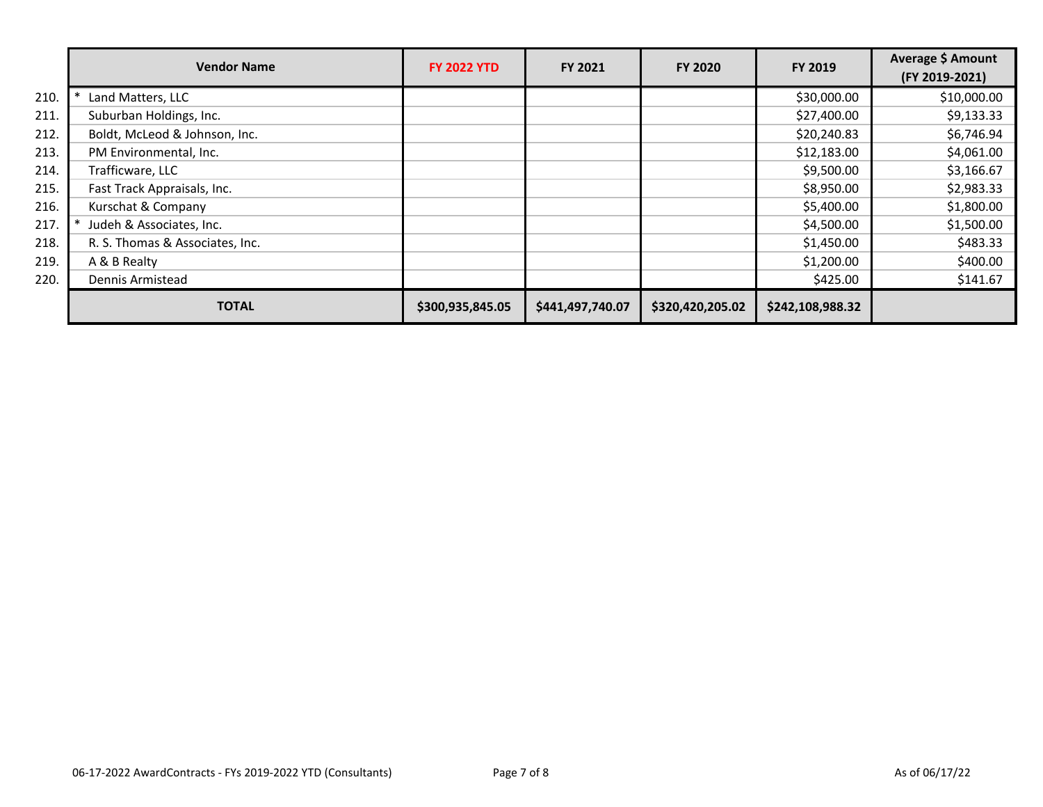|      | <b>Vendor Name</b>              | <b>FY 2022 YTD</b> | <b>FY 2021</b>   | <b>FY 2020</b>   | FY 2019          | Average \$ Amount<br>(FY 2019-2021) |
|------|---------------------------------|--------------------|------------------|------------------|------------------|-------------------------------------|
| 210. | Land Matters, LLC               |                    |                  |                  | \$30,000.00      | \$10,000.00                         |
| 211. | Suburban Holdings, Inc.         |                    |                  |                  | \$27,400.00      | \$9,133.33                          |
| 212. | Boldt, McLeod & Johnson, Inc.   |                    |                  |                  | \$20,240.83      | \$6,746.94                          |
| 213. | PM Environmental, Inc.          |                    |                  |                  | \$12,183.00      | \$4,061.00                          |
| 214. | Trafficware, LLC                |                    |                  |                  | \$9,500.00       | \$3,166.67                          |
| 215. | Fast Track Appraisals, Inc.     |                    |                  |                  | \$8,950.00       | \$2,983.33                          |
| 216. | Kurschat & Company              |                    |                  |                  | \$5,400.00       | \$1,800.00                          |
| 217. | Judeh & Associates, Inc.        |                    |                  |                  | \$4,500.00       | \$1,500.00                          |
| 218. | R. S. Thomas & Associates, Inc. |                    |                  |                  | \$1,450.00       | \$483.33                            |
| 219. | A & B Realty                    |                    |                  |                  | \$1,200.00       | \$400.00                            |
| 220. | Dennis Armistead                |                    |                  |                  | \$425.00         | \$141.67                            |
|      | <b>TOTAL</b>                    | \$300,935,845.05   | \$441,497,740.07 | \$320,420,205.02 | \$242,108,988.32 |                                     |